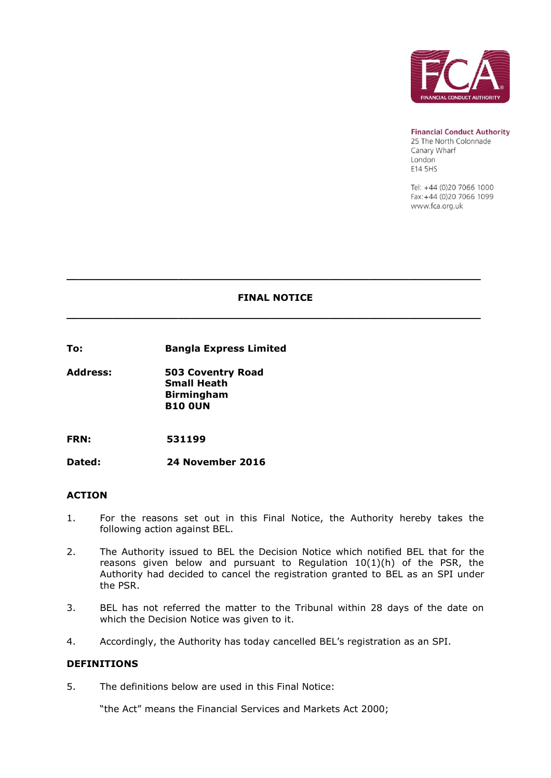

**Financial Conduct Authority** 

25 The North Colonnade Canary Wharf **London** E14 5HS

Tel: +44 (0)20 7066 1000 Fax: +44 (0)20 7066 1099 www.fca.org.uk

## **FINAL NOTICE**

**\_\_\_\_\_\_\_\_\_\_\_\_\_\_\_\_\_\_\_\_\_\_\_\_\_\_\_\_\_\_\_\_\_\_\_\_\_\_\_\_\_\_\_\_\_\_\_\_\_\_\_\_\_\_\_\_\_\_\_\_\_\_\_**

**\_\_\_\_\_\_\_\_\_\_\_\_\_\_\_\_\_\_\_\_\_\_\_\_\_\_\_\_\_\_\_\_\_\_\_\_\_\_\_\_\_\_\_\_\_\_\_\_\_\_\_\_\_\_\_\_\_\_\_\_\_\_\_**

**To: Bangla Express Limited** 

**Address: 503 Coventry Road Small Heath Birmingham B10 0UN**

**FRN: 531199**

**Dated: 24 November 2016**

#### **ACTION**

- 1. For the reasons set out in this Final Notice, the Authority hereby takes the following action against BEL.
- 2. The Authority issued to BEL the Decision Notice which notified BEL that for the reasons given below and pursuant to Regulation 10(1)(h) of the PSR, the Authority had decided to cancel the registration granted to BEL as an SPI under the PSR.
- 3. BEL has not referred the matter to the Tribunal within 28 days of the date on which the Decision Notice was given to it.
- 4. Accordingly, the Authority has today cancelled BEL's registration as an SPI.

#### **DEFINITIONS**

5. The definitions below are used in this Final Notice:

"the Act" means the Financial Services and Markets Act 2000;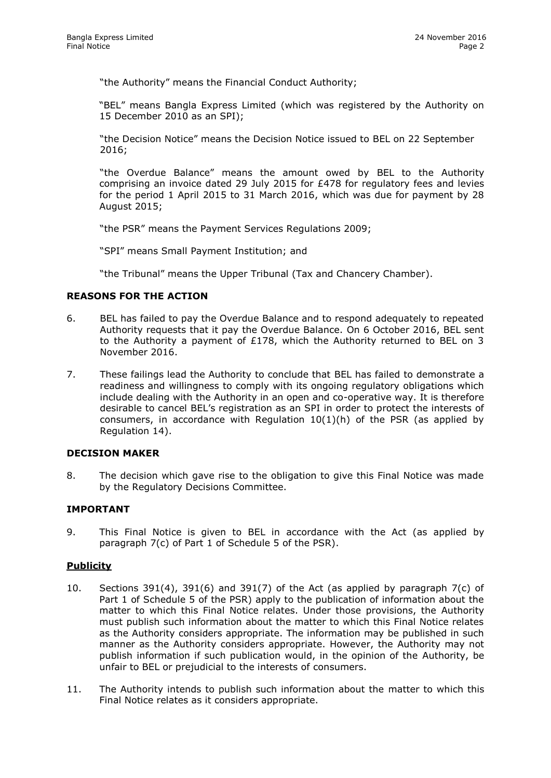"the Authority" means the Financial Conduct Authority;

"BEL" means Bangla Express Limited (which was registered by the Authority on 15 December 2010 as an SPI);

"the Decision Notice" means the Decision Notice issued to BEL on 22 September 2016;

"the Overdue Balance" means the amount owed by BEL to the Authority comprising an invoice dated 29 July 2015 for £478 for regulatory fees and levies for the period 1 April 2015 to 31 March 2016, which was due for payment by 28 August 2015;

"the PSR" means the Payment Services Regulations 2009;

"SPI" means Small Payment Institution; and

"the Tribunal" means the Upper Tribunal (Tax and Chancery Chamber).

## **REASONS FOR THE ACTION**

- 6. BEL has failed to pay the Overdue Balance and to respond adequately to repeated Authority requests that it pay the Overdue Balance. On 6 October 2016, BEL sent to the Authority a payment of £178, which the Authority returned to BEL on 3 November 2016.
- 7. These failings lead the Authority to conclude that BEL has failed to demonstrate a readiness and willingness to comply with its ongoing regulatory obligations which include dealing with the Authority in an open and co-operative way. It is therefore desirable to cancel BEL's registration as an SPI in order to protect the interests of consumers, in accordance with Regulation  $10(1)(h)$  of the PSR (as applied by Regulation 14).

### **DECISION MAKER**

8. The decision which gave rise to the obligation to give this Final Notice was made by the Regulatory Decisions Committee.

## **IMPORTANT**

9. This Final Notice is given to BEL in accordance with the Act (as applied by paragraph 7(c) of Part 1 of Schedule 5 of the PSR).

## **Publicity**

- 10. Sections 391(4), 391(6) and 391(7) of the Act (as applied by paragraph 7(c) of Part 1 of Schedule 5 of the PSR) apply to the publication of information about the matter to which this Final Notice relates. Under those provisions, the Authority must publish such information about the matter to which this Final Notice relates as the Authority considers appropriate. The information may be published in such manner as the Authority considers appropriate. However, the Authority may not publish information if such publication would, in the opinion of the Authority, be unfair to BEL or prejudicial to the interests of consumers.
- 11. The Authority intends to publish such information about the matter to which this Final Notice relates as it considers appropriate.